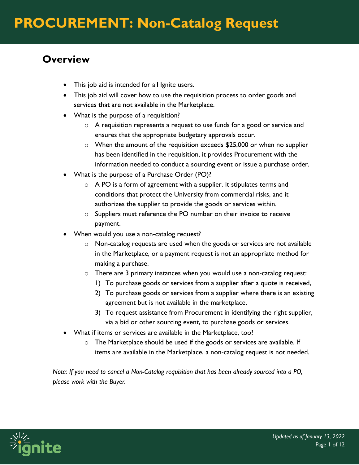### **Overview**

- This job aid is intended for all Ignite users.
- This job aid will cover how to use the requisition process to order goods and services that are not available in the Marketplace.
- What is the purpose of a requisition?
	- o A requisition represents a request to use funds for a good or service and ensures that the appropriate budgetary approvals occur.
	- o When the amount of the requisition exceeds \$25,000 or when no supplier has been identified in the requisition, it provides Procurement with the information needed to conduct a sourcing event or issue a purchase order.
- What is the purpose of a Purchase Order (PO)?
	- $\circ$  A PO is a form of agreement with a supplier. It stipulates terms and conditions that protect the University from commercial risks, and it authorizes the supplier to provide the goods or services within.
	- o Suppliers must reference the PO number on their invoice to receive payment.
- When would you use a non-catalog request?
	- $\circ$  Non-catalog requests are used when the goods or services are not available in the Marketplace, or a payment request is not an appropriate method for making a purchase.
	- $\circ$  There are 3 primary instances when you would use a non-catalog request:
		- 1) To purchase goods or services from a supplier after a quote is received,
		- 2) To purchase goods or services from a supplier where there is an existing agreement but is not available in the marketplace,
		- 3) To request assistance from Procurement in identifying the right supplier, via a bid or other sourcing event, to purchase goods or services.
- What if items or services are available in the Marketplace, too?
	- $\circ$  The Marketplace should be used if the goods or services are available. If items are available in the Marketplace, a non-catalog request is not needed.

*Note: If you need to cancel a Non-Catalog requisition that has been already sourced into a PO, please work with the Buyer.*

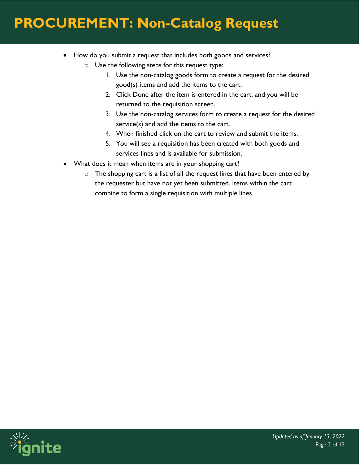- How do you submit a request that includes both goods and services?
	- o Use the following steps for this request type:
		- 1. Use the non-catalog goods form to create a request for the desired good(s) items and add the items to the cart.
		- 2. Click Done after the item is entered in the cart, and you will be returned to the requisition screen.
		- 3. Use the non-catalog services form to create a request for the desired service(s) and add the items to the cart.
		- 4. When finished click on the cart to review and submit the items.
		- 5. You will see a requisition has been created with both goods and services lines and is available for submission.
- What does it mean when items are in your shopping cart?
	- $\circ$  The shopping cart is a list of all the request lines that have been entered by the requester but have not yet been submitted. Items within the cart combine to form a single requisition with multiple lines.

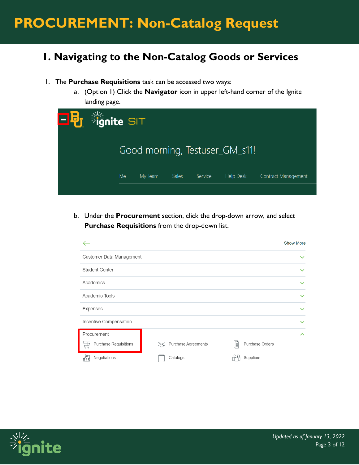### **1. Navigating to the Non-Catalog Goods or Services**

- 1. The **Purchase Requisitions** task can be accessed two ways:
	- a. (Option 1) Click the **Navigator** icon in upper left-hand corner of the Ignite landing page.

| <b>国B</b> 消nite SIT |                                |         |              |         |                  |                     |  |  |  |
|---------------------|--------------------------------|---------|--------------|---------|------------------|---------------------|--|--|--|
|                     | Good morning, Testuser_GM_s11! |         |              |         |                  |                     |  |  |  |
|                     | Me                             | My Team | <b>Sales</b> | Service | <b>Help Desk</b> | Contract Management |  |  |  |
|                     |                                |         |              |         |                  |                     |  |  |  |

b. Under the **Procurement** section, click the drop-down arrow, and select **Purchase Requisitions** from the drop-down list.

|                                                  |                           | <b>Show More</b>          |
|--------------------------------------------------|---------------------------|---------------------------|
| Customer Data Management                         |                           | $\checkmark$              |
| <b>Student Center</b>                            |                           | $\checkmark$              |
| Academics                                        |                           | $\checkmark$              |
| Academic Tools                                   |                           | $\checkmark$              |
| Expenses                                         |                           | $\checkmark$              |
| Incentive Compensation                           |                           | $\checkmark$              |
| Procurement<br><b>Purchase Requisitions</b><br>角 | Purchase Agreements<br>ra | ㅅ<br>Purchase Orders<br>E |
| Negotiations                                     | Catalogs                  | Suppliers                 |

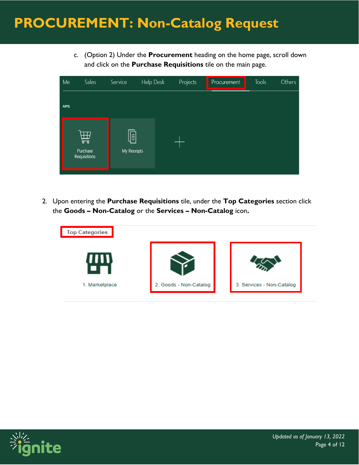c. (Option 2) Under the **Procurement** heading on the home page, scroll down and click on the **Purchase Requisitions** tile on the main page.



2. Upon entering the **Purchase Requisitions** tile, under the **Top Categories** section click the **Goods – Non-Catalog** or the **Services – Non-Catalog** icon**.**



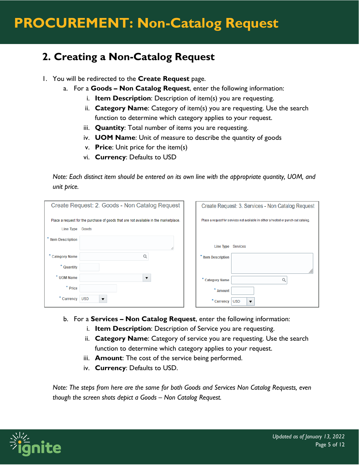### **2. Creating a Non-Catalog Request**

- 1. You will be redirected to the **Create Request** page.
	- a. For a **Goods – Non Catalog Request**, enter the following information:
		- i. **Item Description**: Description of item(s) you are requesting.
		- ii. **Category Name**: Category of item(s) you are requesting. Use the search function to determine which category applies to your request.
		- iii. **Quantity**: Total number of items you are requesting.
		- iv. **UOM Name**: Unit of measure to describe the quantity of goods
		- v. **Price**: Unit price for the item(s)
		- vi. **Currency**: Defaults to USD

*Note: Each distinct item should be entered on its own line with the appropriate quantity, UOM, and unit price.* 

|                         | Create Request: 2. Goods - Non Catalog Request                                       | Create Request: 3. Services - Non Catalog Request                                   |
|-------------------------|--------------------------------------------------------------------------------------|-------------------------------------------------------------------------------------|
|                         | Place a request for the purchase of goods that are not available in the marketplace. | Place a request for services not available in either a hosted or punch-out catalog. |
| Line Type Goods         |                                                                                      |                                                                                     |
| <b>Item Description</b> | //                                                                                   | Line Type Services                                                                  |
| <b>Category Name</b>    |                                                                                      | * Item Description                                                                  |
| * Quantity              |                                                                                      |                                                                                     |
| * UOM Name              | ▼                                                                                    | * Category Name                                                                     |
| $*$ Price               |                                                                                      | $*$ Amount                                                                          |
| ×<br>Currency           | <b>USD</b><br>$\overline{\phantom{a}}$                                               | $*$ Currency<br><b>USD</b><br>$\overline{\mathbf{v}}$                               |

- b. For a **Services – Non Catalog Request**, enter the following information:
	- i. **Item Description**: Description of Service you are requesting.
	- ii. **Category Name**: Category of service you are requesting. Use the search function to determine which category applies to your request.
	- iii. **Amount**: The cost of the service being performed.
	- iv. **Currency**: Defaults to USD.

*Note: The steps from here are the same for both Goods and Services Non Catalog Requests, even though the screen shots depict a Goods – Non Catalog Request.*

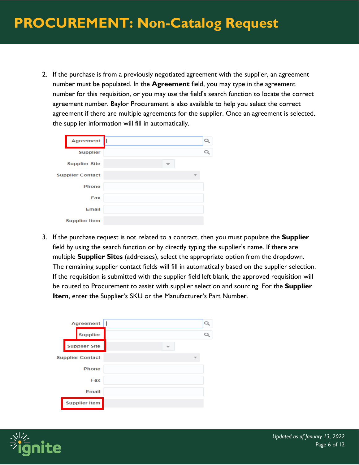2. If the purchase is from a previously negotiated agreement with the supplier, an agreement number must be populated. In the **Agreement** field, you may type in the agreement number for this requisition, or you may use the field's search function to locate the correct agreement number. Baylor Procurement is also available to help you select the correct agreement if there are multiple agreements for the supplier. Once an agreement is selected, the supplier information will fill in automatically.

| Agreement               | Q |
|-------------------------|---|
| <b>Supplier</b>         |   |
| <b>Supplier Site</b>    |   |
| <b>Supplier Contact</b> |   |
| <b>Phone</b>            |   |
| Fax                     |   |
| Email                   |   |
| <b>Supplier Item</b>    |   |

3. If the purchase request is not related to a contract, then you must populate the **Supplier** field by using the search function or by directly typing the supplier's name. If there are multiple **Supplier Sites** (addresses), select the appropriate option from the dropdown. The remaining supplier contact fields will fill in automatically based on the supplier selection. If the requisition is submitted with the supplier field left blank, the approved requisition will be routed to Procurement to assist with supplier selection and sourcing. For the **Supplier Item**, enter the Supplier's SKU or the Manufacturer's Part Number.

|  | Agreement               |  |
|--|-------------------------|--|
|  | <b>Supplier</b>         |  |
|  | <b>Supplier Site</b>    |  |
|  | <b>Supplier Contact</b> |  |
|  | <b>Phone</b>            |  |
|  | Fax                     |  |
|  | Email                   |  |
|  | <b>Supplier Item</b>    |  |

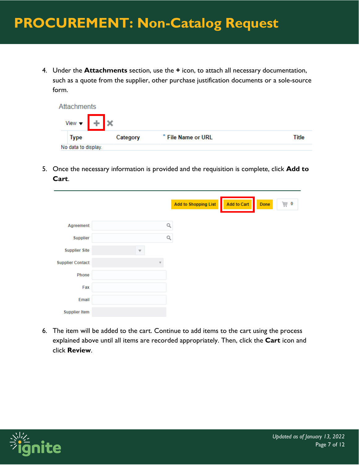4. Under the **Attachments** section, use the **+** icon, to attach all necessary documentation, such as a quote from the supplier, other purchase justification documents or a sole-source form.

| Attachments                                       |          |                    |       |
|---------------------------------------------------|----------|--------------------|-------|
| View $\bullet$ $\parallel$ + $\parallel$ $\times$ |          |                    |       |
| <b>Type</b>                                       | Category | * File Name or URL | Title |
| No data to display.                               |          |                    |       |

5. Once the necessary information is provided and the requisition is complete, click **Add to Cart**.

|                         |                         |   | Add to Shopping List | <b>Add to Cart</b> | Done |
|-------------------------|-------------------------|---|----------------------|--------------------|------|
| Agreement               |                         |   | Q                    |                    |      |
| <b>Supplier</b>         |                         |   | Q                    |                    |      |
| <b>Supplier Site</b>    | $\overline{\mathbf{v}}$ |   |                      |                    |      |
| <b>Supplier Contact</b> |                         | v |                      |                    |      |
| Phone                   |                         |   |                      |                    |      |
| Fax                     |                         |   |                      |                    |      |
| Email                   |                         |   |                      |                    |      |
| <b>Supplier Item</b>    |                         |   |                      |                    |      |

6. The item will be added to the cart. Continue to add items to the cart using the process explained above until all items are recorded appropriately. Then, click the **Cart** icon and click **Review**.

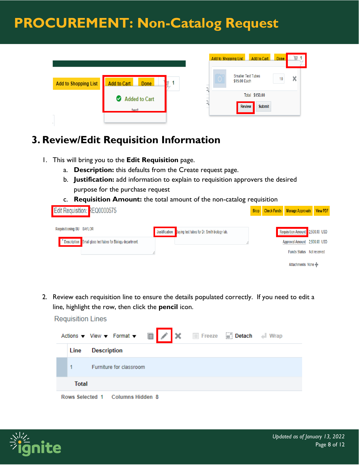

#### **3. Review/Edit Requisition Information**

- 1. This will bring you to the **Edit Requisition** page.
	- a. **Description:** this defaults from the Create request page.
	- b. **Justification:** add information to explain to requisition approvers the desired purpose for the purchase request
	- c. **Requisition Amount:** the total amount of the non-catalog requisition

| <b>Edit Requisition: REQ0000575</b>                        |                                                                    |  | Shop Check Funds Manage Approvals View PDF |  |
|------------------------------------------------------------|--------------------------------------------------------------------|--|--------------------------------------------|--|
|                                                            |                                                                    |  |                                            |  |
| Requisitioning BU BAYLOR                                   | Justification <b>B</b> uying test tubes for Dr. Smith biology lab. |  | Requisition Amount 2,500.00 USD            |  |
| Description Small glass test tubes for Biology department. |                                                                    |  | Approval Amount 2,500.00 USD               |  |
|                                                            |                                                                    |  | <b>Funds Status</b> Not reserved           |  |
|                                                            |                                                                    |  | Attachments None                           |  |

2. Review each requisition line to ensure the details populated correctly. If you need to edit a line, highlight the row, then click the **pencil** icon.





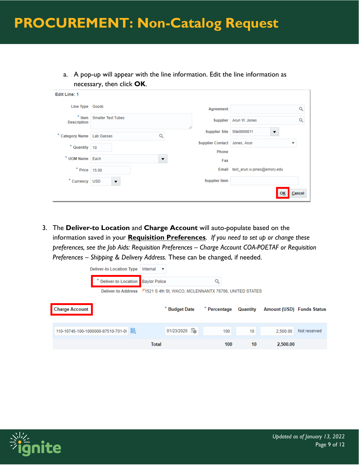a. A pop-up will appear with the line information. Edit the line information as necessary, then click **OK**.

| <b>Edit Line: 1</b>             |                           |                                         |                                          |
|---------------------------------|---------------------------|-----------------------------------------|------------------------------------------|
| Line Type Goods                 |                           | Agreement                               |                                          |
| ×<br>Item<br><b>Description</b> | <b>Smaller Test Tubes</b> | <b>Supplier</b>                         | Arun W. Jones                            |
| * Category Name Lab Gasses      | Q                         | 4<br><b>Supplier Site</b>               | Site0000011<br>▼                         |
| * Quantity 10                   |                           | <b>Supplier Contact</b><br><b>Phone</b> | Jones, Arun<br>$\boldsymbol{\mathrm{v}}$ |
| * UOM Name Each                 | $\blacktriangledown$      | Fax                                     |                                          |
| $*$ Price 15.00                 |                           |                                         | Email test_arun.w.jones@emory.edu        |
| * Currency USD                  | $\overline{\textbf{v}}$   | <b>Supplier Item</b>                    |                                          |
|                                 |                           |                                         | <b>OK</b><br>Cancel                      |

3. The **Deliver-to Location** and **Charge Account** will auto-populate based on the information saved in your **Requisition Preferences**. *If you need to set up or change these preferences, see the Job Aids: Requisition Preferences – Charge Account COA-POETAF or Requisition Preferences – Shipping & Delivery Address.* These can be changed, if needed.

| <b>Deliver-to Location Type</b>    |                                   | Internal $\mathbf v$                                                     |                 |           |                           |              |
|------------------------------------|-----------------------------------|--------------------------------------------------------------------------|-----------------|-----------|---------------------------|--------------|
|                                    | Deliver-to Location Baylor Police |                                                                          | Q               |           |                           |              |
|                                    |                                   | Deliver-to Address 71521 S 4th St, WACO, MCLENNANTX 76706, UNITED STATES |                 |           |                           |              |
| <b>Charge Account</b>              |                                   | <b>Budget Date</b>                                                       | * Percentage    | Quantity  | Amount (USD) Funds Status |              |
| 110-10745-100-1000000-97510-701-0( | 國                                 | 01/23/2020                                                               | $\frac{1}{100}$ | 100<br>10 | 2.500.00                  | Not reserved |
|                                    |                                   | <b>Total</b>                                                             |                 | 100       | 10<br>2,500.00            |              |

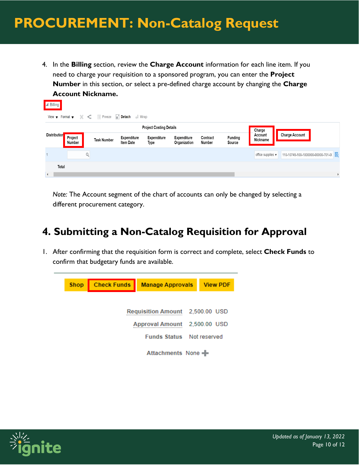4. In the **Billing** section, review the **Charge Account** information for each line item. If you need to charge your requisition to a sponsored program, you can enter the **Project Number** in this section, or select a pre-defined charge account by changing the **Charge Account Nickname.**

| A Billing           |                   |                                                                                                                                  |                                 |                                   |                             |                    |                          |                                                                   |
|---------------------|-------------------|----------------------------------------------------------------------------------------------------------------------------------|---------------------------------|-----------------------------------|-----------------------------|--------------------|--------------------------|-------------------------------------------------------------------|
|                     |                   | View $\blacktriangledown$ Format $\blacktriangledown$ $\blacktriangleleft$ and Freeze $\bowtie$ Detach $\blacktriangleleft$ Wrap |                                 |                                   |                             |                    |                          |                                                                   |
|                     |                   |                                                                                                                                  |                                 | <b>Project Costing Details</b>    |                             |                    |                          | Charge                                                            |
| <b>Distribution</b> | Project<br>Number | <b>Task Number</b>                                                                                                               | Expenditure<br><b>Item Date</b> | <b>Expenditure</b><br><b>Type</b> | Expenditure<br>Organization | Contract<br>Number | <b>Funding</b><br>Source | <b>Charge Account</b><br>Account<br>Nickname                      |
|                     |                   |                                                                                                                                  |                                 |                                   |                             |                    |                          | 110-10745-100-1000000-00000-701-0(<br>office supplies $\mathbf v$ |
| Total               |                   |                                                                                                                                  |                                 |                                   |                             |                    |                          |                                                                   |

*Note:* The Account segment of the chart of accounts can only be changed by selecting a different procurement category.

### **4. Submitting a Non-Catalog Requisition for Approval**

1. After confirming that the requisition form is correct and complete, select **Check Funds** to confirm that budgetary funds are available.



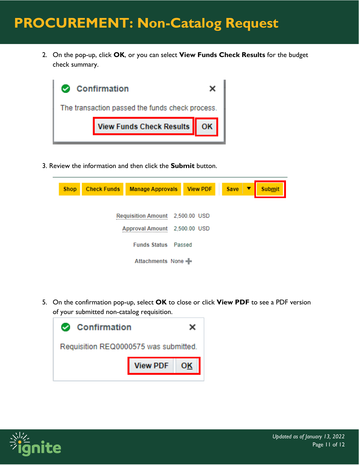2. On the pop-up, click **OK**, or you can select **View Funds Check Results** for the budget check summary.



3. Review the information and then click the **Submit** button.

| <b>Shop</b>                            | <b>Check Funds</b> | <b>Manage Approvals View PDF</b> |  |  | <b>Save</b><br>▼ | <b>Submit</b> |  |  |  |
|----------------------------------------|--------------------|----------------------------------|--|--|------------------|---------------|--|--|--|
|                                        |                    | Requisition Amount 2,500.00 USD  |  |  |                  |               |  |  |  |
| <b>Approval Amount</b><br>2,500.00 USD |                    |                                  |  |  |                  |               |  |  |  |
|                                        |                    | <b>Funds Status Passed</b>       |  |  |                  |               |  |  |  |
|                                        |                    | Attachments None -               |  |  |                  |               |  |  |  |

5. On the confirmation pop-up, select **OK** to close or click **View PDF** to see a PDF version of your submitted non-catalog requisition.

| <b>Confirmation</b><br>أمموا          |                 |    |  |  |
|---------------------------------------|-----------------|----|--|--|
| Requisition REQ0000575 was submitted. |                 |    |  |  |
|                                       | <b>View PDF</b> | OK |  |  |